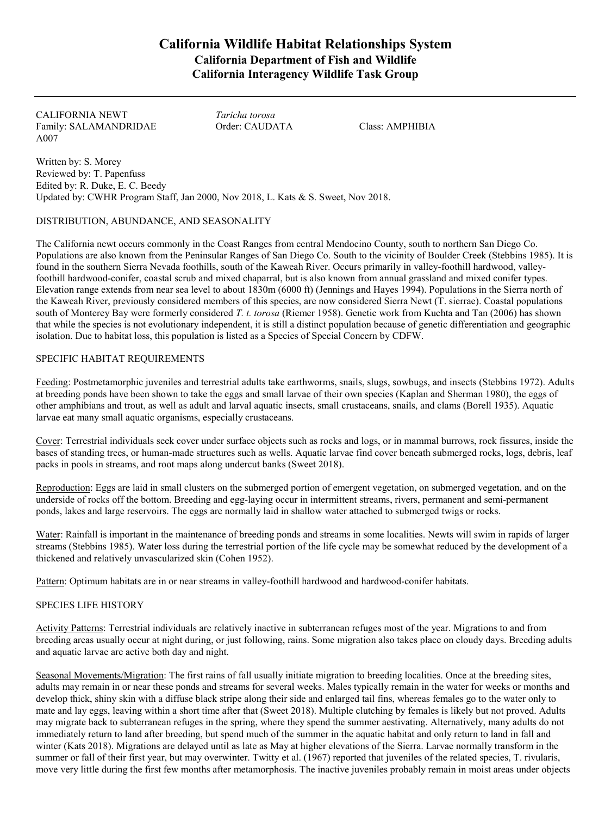# **California Wildlife Habitat Relationships System California Department of Fish and Wildlife California Interagency Wildlife Task Group**

CALIFORNIA NEWT *Taricha torosa* Family: SALAMANDRIDAE Order: CAUDATA Class: AMPHIBIA A007

Written by: S. Morey Reviewed by: T. Papenfuss Edited by: R. Duke, E. C. Beedy Updated by: CWHR Program Staff, Jan 2000, Nov 2018, L. Kats & S. Sweet, Nov 2018.

### DISTRIBUTION, ABUNDANCE, AND SEASONALITY

The California newt occurs commonly in the Coast Ranges from central Mendocino County, south to northern San Diego Co. Populations are also known from the Peninsular Ranges of San Diego Co. South to the vicinity of Boulder Creek (Stebbins 1985). It is found in the southern Sierra Nevada foothills, south of the Kaweah River. Occurs primarily in valley-foothill hardwood, valleyfoothill hardwood-conifer, coastal scrub and mixed chaparral, but is also known from annual grassland and mixed conifer types. Elevation range extends from near sea level to about 1830m (6000 ft) (Jennings and Hayes 1994). Populations in the Sierra north of the Kaweah River, previously considered members of this species, are now considered Sierra Newt (T. sierrae). Coastal populations south of Monterey Bay were formerly considered *T. t. torosa* (Riemer 1958). Genetic work from Kuchta and Tan (2006) has shown that while the species is not evolutionary independent, it is still a distinct population because of genetic differentiation and geographic isolation. Due to habitat loss, this population is listed as a Species of Special Concern by CDFW.

### SPECIFIC HABITAT REQUIREMENTS

Feeding: Postmetamorphic juveniles and terrestrial adults take earthworms, snails, slugs, sowbugs, and insects (Stebbins 1972). Adults at breeding ponds have been shown to take the eggs and small larvae of their own species (Kaplan and Sherman 1980), the eggs of other amphibians and trout, as well as adult and larval aquatic insects, small crustaceans, snails, and clams (Borell 1935). Aquatic larvae eat many small aquatic organisms, especially crustaceans.

Cover: Terrestrial individuals seek cover under surface objects such as rocks and logs, or in mammal burrows, rock fissures, inside the bases of standing trees, or human-made structures such as wells. Aquatic larvae find cover beneath submerged rocks, logs, debris, leaf packs in pools in streams, and root maps along undercut banks (Sweet 2018).

Reproduction: Eggs are laid in small clusters on the submerged portion of emergent vegetation, on submerged vegetation, and on the underside of rocks off the bottom. Breeding and egg-laying occur in intermittent streams, rivers, permanent and semi-permanent ponds, lakes and large reservoirs. The eggs are normally laid in shallow water attached to submerged twigs or rocks.

Water: Rainfall is important in the maintenance of breeding ponds and streams in some localities. Newts will swim in rapids of larger streams (Stebbins 1985). Water loss during the terrestrial portion of the life cycle may be somewhat reduced by the development of a thickened and relatively unvascularized skin (Cohen 1952).

Pattern: Optimum habitats are in or near streams in valley-foothill hardwood and hardwood-conifer habitats.

## SPECIES LIFE HISTORY

Activity Patterns: Terrestrial individuals are relatively inactive in subterranean refuges most of the year. Migrations to and from breeding areas usually occur at night during, or just following, rains. Some migration also takes place on cloudy days. Breeding adults and aquatic larvae are active both day and night.

Seasonal Movements/Migration: The first rains of fall usually initiate migration to breeding localities. Once at the breeding sites, adults may remain in or near these ponds and streams for several weeks. Males typically remain in the water for weeks or months and develop thick, shiny skin with a diffuse black stripe along their side and enlarged tail fins, whereas females go to the water only to mate and lay eggs, leaving within a short time after that (Sweet 2018). Multiple clutching by females is likely but not proved. Adults may migrate back to subterranean refuges in the spring, where they spend the summer aestivating. Alternatively, many adults do not immediately return to land after breeding, but spend much of the summer in the aquatic habitat and only return to land in fall and winter (Kats 2018). Migrations are delayed until as late as May at higher elevations of the Sierra. Larvae normally transform in the summer or fall of their first year, but may overwinter. Twitty et al. (1967) reported that juveniles of the related species, T. rivularis, move very little during the first few months after metamorphosis. The inactive juveniles probably remain in moist areas under objects